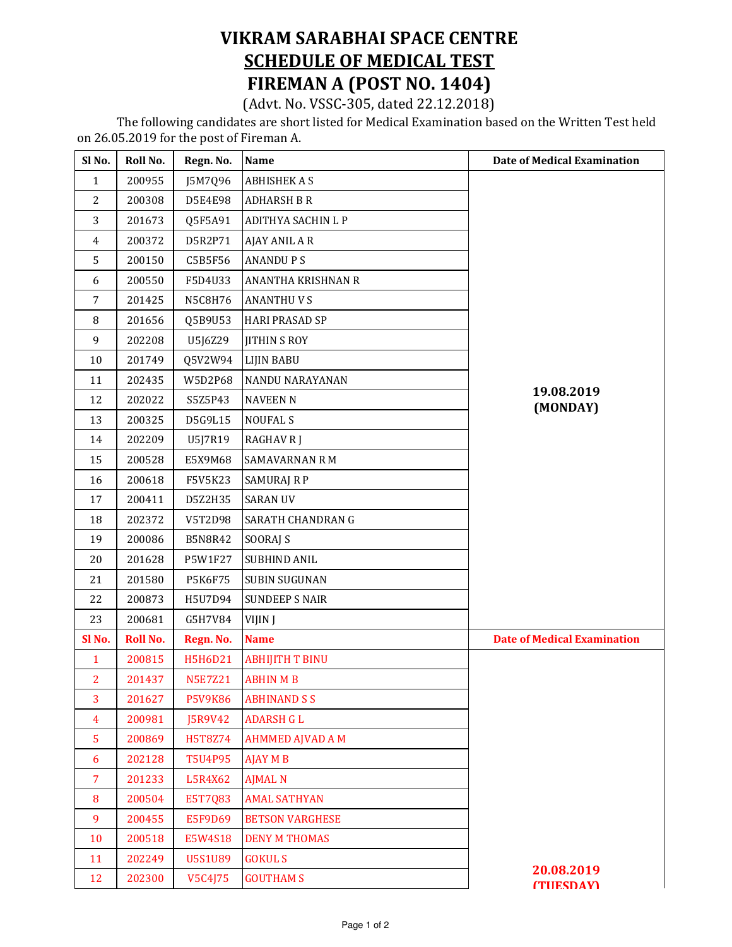## VIKRAM SARABHAI SPACE CENTRE SCHEDULE OF MEDICAL TEST FIREMAN A (POST NO. 1404)

(Advt. No. VSSC-305, dated 22.12.2018)

 The following candidates are short listed for Medical Examination based on the Written Test held on 26.05.2019 for the post of Fireman A.

| Sl No.         | Roll No. | Regn. No.      | Name                      | <b>Date of Medical Examination</b> |
|----------------|----------|----------------|---------------------------|------------------------------------|
| $\mathbf{1}$   | 200955   | J5M7Q96        | <b>ABHISHEK A S</b>       |                                    |
| $\overline{2}$ | 200308   | D5E4E98        | <b>ADHARSH B R</b>        |                                    |
| 3              | 201673   | Q5F5A91        | <b>ADITHYA SACHIN L P</b> |                                    |
| $\overline{4}$ | 200372   | D5R2P71        | AJAY ANIL A R             |                                    |
| 5              | 200150   | C5B5F56        | <b>ANANDUPS</b>           |                                    |
| 6              | 200550   | F5D4U33        | ANANTHA KRISHNAN R        |                                    |
| 7              | 201425   | N5C8H76        | <b>ANANTHUVS</b>          |                                    |
| 8              | 201656   | Q5B9U53        | <b>HARI PRASAD SP</b>     |                                    |
| 9              | 202208   | U5J6Z29        | <b>JITHIN S ROY</b>       |                                    |
| 10             | 201749   | Q5V2W94        | <b>LIJIN BABU</b>         |                                    |
| 11             | 202435   | W5D2P68        | NANDU NARAYANAN           |                                    |
| 12             | 202022   | S5Z5P43        | <b>NAVEEN N</b>           | 19.08.2019<br>(MONDAY)             |
| 13             | 200325   | D5G9L15        | <b>NOUFAL S</b>           |                                    |
| 14             | 202209   | U5J7R19        | <b>RAGHAV R J</b>         |                                    |
| 15             | 200528   | E5X9M68        | <b>SAMAVARNAN R M</b>     |                                    |
| 16             | 200618   | F5V5K23        | <b>SAMURAJ R P</b>        |                                    |
| 17             | 200411   | D5Z2H35        | <b>SARAN UV</b>           |                                    |
| 18             | 202372   | V5T2D98        | SARATH CHANDRAN G         |                                    |
| 19             | 200086   | <b>B5N8R42</b> | <b>SOORAJ S</b>           |                                    |
| 20             | 201628   | P5W1F27        | <b>SUBHIND ANIL</b>       |                                    |
| 21             | 201580   | <b>P5K6F75</b> | <b>SUBIN SUGUNAN</b>      |                                    |
| 22             | 200873   | H5U7D94        | <b>SUNDEEP S NAIR</b>     |                                    |
| 23             | 200681   | G5H7V84        | VIJIN J                   |                                    |
| Sl No.         | Roll No. | Regn. No.      | <b>Name</b>               | <b>Date of Medical Examination</b> |
| $\mathbf{1}$   | 200815   | H5H6D21        | <b>ABHIJITH T BINU</b>    |                                    |
| 2              | 201437   | <b>N5E7Z21</b> | <b>ABHIN M B</b>          |                                    |
| 3              | 201627   | <b>P5V9K86</b> | <b>ABHINAND S S</b>       |                                    |
| $\overline{4}$ | 200981   | J5R9V42        | <b>ADARSH G L</b>         |                                    |
| 5              | 200869   | H5T8Z74        | <b>AHMMED AJVAD A M</b>   |                                    |
| 6              | 202128   | <b>T5U4P95</b> | <b>AJAY M B</b>           |                                    |
| $\overline{7}$ | 201233   | L5R4X62        | <b>AJMAL N</b>            |                                    |
| 8              | 200504   | E5T7Q83        | <b>AMAL SATHYAN</b>       |                                    |
| 9              | 200455   | <b>E5F9D69</b> | <b>BETSON VARGHESE</b>    |                                    |
| 10             | 200518   | E5W4S18        | <b>DENY M THOMAS</b>      |                                    |
| 11             | 202249   | <b>U5S1U89</b> | <b>GOKUL S</b>            |                                    |
| 12             | 202300   | V5C4J75        | <b>GOUTHAM S</b>          | 20.08.2019<br><b>(THESDAY)</b>     |